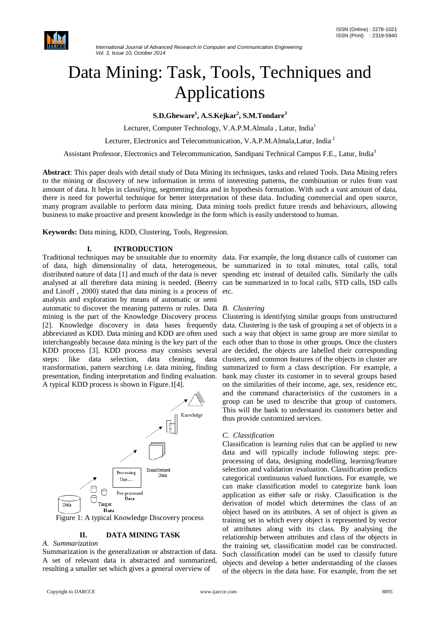

#### *International Journal of Advanced Research in Computer and Communication Engineering Vol. 3, Issue 10, October 2014*

# Data Mining: Task, Tools, Techniques and Applications

**S.D.Gheware<sup>1</sup> , A.S.Kejkar<sup>2</sup> , S.M.Tondare<sup>3</sup>**

Lecturer, Computer Technology, V.A.P.M.Almala, Latur, India<sup>1</sup>

Lecturer, Electronics and Telecommunication, V.A.P.M.Almala,Latur, India <sup>2</sup>

Assistant Professor, Electronics and Telecommunication, Sandipani Technical Campus F.E., Latur, India<sup>3</sup>

**Abstract**: This paper deals with detail study of Data Mining its techniques, tasks and related Tools. Data Mining refers to the mining or discovery of new information in terms of interesting patterns, the combination or rules from vast amount of data. It helps in classifying, segmenting data and in hypothesis formation. With such a vast amount of data, there is need for powerful technique for better interpretation of these data. Including commercial and open source, many program available to perform data mining. Data mining tools predict future trends and behaviours, allowing business to make proactive and present knowledge in the form which is easily understood to human.

**Keywords:** Data mining, KDD, Clustering, Tools, Regression.

#### **I. INTRODUCTION**

of data, high dimensionality of data, heterogeneous, be summarized in to total minutes, total calls, total distributed nature of data [1] and much of the data is never spending etc instead of detailed calls. Similarly the calls analysed at all therefore data mining is needed. (Beerry can be summarized in to local calls, STD calls, ISD calls and Linoff , 2000) stated that data mining is a process of etc. analysis and exploration by means of automatic or semi automatic to discover the meaning patterns or rules. Data *B. Clustering* mining is the part of the Knowledge Discovery process Clustering is identifying similar groups from unstructured [2]. Knowledge discovery in data bases frequently data. Clustering is the task of grouping a set of objects in a abbreviated as KDD. Data mining and KDD are often used such a way that object in same group are more similar to interchangeably because data mining is the key part of the each other than to those in other groups. Once the clusters KDD process [3]. KDD process may consists several steps: like data selection, data cleaning, data transformation, pattern searching i.e. data mining, finding presentation, finding interpretation and finding evaluation. A typical KDD process is shown in Figure.1[4].



Figure 1: A typical Knowledge Discovery process

#### **II. DATA MINING TASK**

#### *A. Summarization*

Summarization is the generalization or abstraction of data. A set of relevant data is abstracted and summarized, resulting a smaller set which gives a general overview of

Traditional techniques may be unsuitable due to enormity data. For example, the long distance calls of customer can

are decided, the objects are labelled their corresponding clusters, and common features of the objects in cluster are summarized to form a class description. For example, a bank may cluster its customer in to several groups based on the similarities of their income, age, sex, residence etc, and the command characteristics of the customers in a group can be used to describe that group of customers. This will the bank to understand its customers better and thus provide customized services.

#### *C. Classification*

Classification is learning rules that can be applied to new data and will typically include following steps: preprocessing of data, designing modelling, learning/feature selection and validation /evaluation. Classification predicts categorical continuous valued functions. For example, we can make classification model to categorize bank loan application as either safe or risky. Classification is the derivation of model which determines the class of an object based on its attributes. A set of object is given as training set in which every object is represented by vector of attributes along with its class. By analysing the relationship between attributes and class of the objects in the training set, classification model can be constructed. Such classification model can be used to classify future objects and develop a better understanding of the classes of the objects in the data base. For example, from the set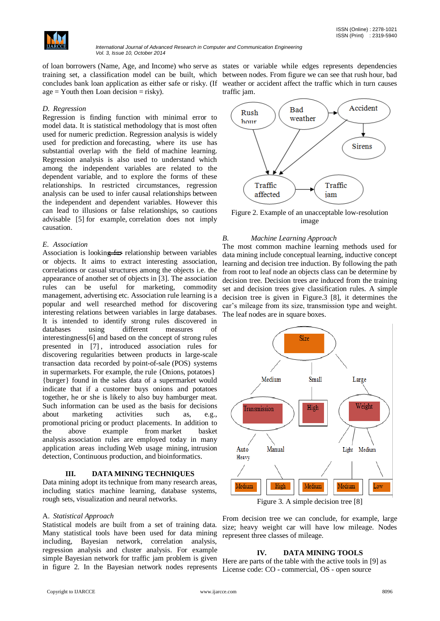

of loan borrowers (Name, Age, and Income) who serve as states or variable while edges represents dependencies training set, a classification model can be built, which between nodes. From figure we can see that rush hour, bad concludes bank loan application as either safe or risky. (If weather or accident affect the traffic which in turn causes  $age = Youth then Loan decision = risky)$ .

traffic jam.

#### *D. Regression*

Regression is finding function with minimal error to model data. It is statistical methodology that is most often used for numeric prediction. Regression analysis is widely used for prediction and forecasting, where its use has substantial overlap with the field of machine learning. Regression analysis is also used to understand which among the independent variables are related to the dependent variable, and to explore the forms of these relationships. In restricted circumstances, regression analysis can be used to infer causal relationships between the independent and dependent variables. However this can lead to illusions or false relationships, so cautions advisable [5] for example, correlation does not imply causation.

#### *E. Association*

Association is looking for relationship between variables or objects. It aims to extract interesting association, correlations or casual structures among the objects i.e. the appearance of another set of objects in [3]. The association rules can be useful for marketing, commodity management, advertising etc. Association rule learning is a popular and well researched method for discovering interesting relations between variables in large databases. It is intended to identify strong rules discovered in databases using different measures of interestingness[6] and based on the concept of strong rules presented in [7] , introduced association rules for discovering regularities between products in large-scale transaction data recorded by point-of-sale (POS) systems in supermarkets. For example, the rule {Onions, potatoes} {burger} found in the sales data of a supermarket would indicate that if a customer buys onions and potatoes together, he or she is likely to also buy hamburger meat. Such information can be used as the basis for decisions about marketing activities such as, e.g., promotional pricing or product placements. In addition to the above example from market basket analysis association rules are employed today in many application areas including Web usage mining, intrusion detection, Continuous production, and bioinformatics.

#### **III. DATA MINING TECHNIQUES**

Data mining adopt its technique from many research areas, including statics machine learning, database systems, rough sets, visualization and neural networks.

#### A. *Statistical Approach*

Statistical models are built from a set of training data. Many statistical tools have been used for data mining including, Bayesian network, correlation analysis, regression analysis and cluster analysis. For example simple Bayesian network for traffic jam problem is given in figure 2. In the Bayesian network nodes represents



Figure 2. Example of an unacceptable low-resolution image

#### *B. Machine Learning Approach*

The most common machine learning methods used for data mining include conceptual learning, inductive concept learning and decision tree induction. By following the path from root to leaf node an objects class can be determine by decision tree. Decision trees are induced from the training set and decision trees give classification rules. A simple decision tree is given in Figure.3 [8], it determines the car's mileage from its size, transmission type and weight. The leaf nodes are in square boxes.



Figure 3. A simple decision tree [8]

From decision tree we can conclude, for example, large size; heavy weight car will have low mileage. Nodes represent three classes of mileage.

#### **IV***.* **DATA MINING TOOLS**

Here are parts of the table with the active tools in [9] as License code: CO - commercial, OS - open source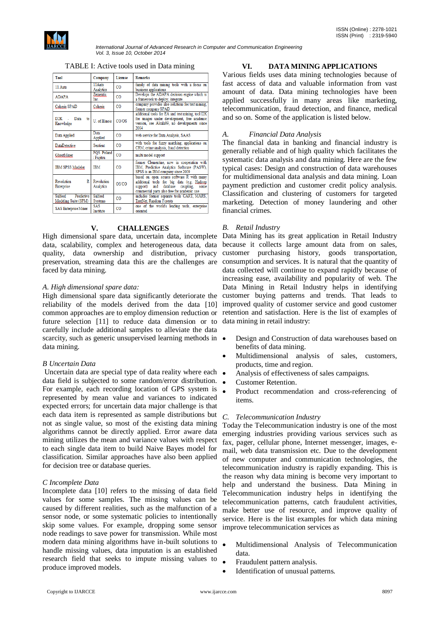

*International Journal of Advanced Research in Computer and Communication Engineering Vol. 3, Issue 10, October 2014*

TABLE I: Active tools used in Data mining

| Tool                                            | Company                     | License | <b>Remarks</b>                                                                                                                                                                          |
|-------------------------------------------------|-----------------------------|---------|-----------------------------------------------------------------------------------------------------------------------------------------------------------------------------------------|
| 11 Ants                                         | 11 Ants<br><b>Analytics</b> | CO      | family of data mining tools with a focus on<br>business applications                                                                                                                    |
| <b>ADAPA</b>                                    | Zementis<br><b>Inc.</b>     | CO      | Develops the ADAPA decision engine which is<br>a framework to deploy, integrate.                                                                                                        |
| Coheris SPAD                                    | Coheris                     | CO      | company provides also solutions for text mining.<br>former company SPAD                                                                                                                 |
| $D2K - 1$<br>Data<br>to<br>Knowledge            | U. of Illinois              | CO/OS   | additional tools for EA and text mining, tool I2K<br>for images under development, free academic<br>version, see Alcala09, no developments since<br>2004                                |
| Data Applied                                    | Data<br>Applied             | CO      | web service for Data Analysis, SAAS                                                                                                                                                     |
| <b>DataDetective</b>                            | <b>Sentient</b>             | CO      | with tools for fuzzy matching, applications on<br>CRM, crime analysis, fraud detection                                                                                                  |
| GhostMiner                                      | FOS Poland<br>/ Fujitsu     | CO      | multi model support                                                                                                                                                                     |
| IBM SPSS Modeler                                | <b>IBM</b>                  | CO      | former Clementine, now in cooperation with<br>IBM, Predictive Analytics Software (PASW),<br>SPSS is an IBM company since 2009                                                           |
| Revolution<br>R<br>Enterprise                   | Revolution<br>Analytics     | OS/CO   | based on open source software R with many<br>additional tools for big data (e.g. Hadoop<br>database coupling,<br>and<br>support)<br>some<br>commercial parts also free for academic use |
| Salford<br>Predictive  <br>Modeling Suite (SPM) | Salford<br><b>Systems</b>   | CO      | includes former separate tools CART, MARS,<br>TreeNet, Random Forests                                                                                                                   |
| <b>SAS Enterprise Miner</b>                     | SAS<br>Institute            | CO      | one of the world's leading tools, enterprise<br>oriented                                                                                                                                |

### **V. CHALLENGES**

data, scalability, complex and heterogeneous data, data quality, data ownership and distribution, privacy preservation, streaming data this are the challenges are consumption and services. It is natural that the quantity of faced by data mining.

#### *A. High dimensional spare data:*

High dimensional spare data significantly deteriorate the reliability of the models derived from the data [10] improved quality of customer service and good customer common approaches are to employ dimension reduction or retention and satisfaction. Here is the list of examples of future selection [11] to reduce data dimension or to data mining in retail industry: carefully include additional samples to alleviate the data scarcity, such as generic unsupervised learning methods in  $\bullet$ data mining.

#### *B Uncertain Data*

Uncertain data are special type of data reality where each data field is subjected to some random/error distribution. For example, each recording location of GPS system is represented by mean value and variances to indicated expected errors; for uncertain data major challenge is that each data item is represented as sample distributions but not as single value, so most of the existing data mining algorithms cannot be directly applied. Error aware data mining utilizes the mean and variance values with respect to each single data item to build Naive Bayes model for classification. Similar approaches have also been applied for decision tree or database queries.

#### *C Incomplete Data*

Incomplete data [10] refers to the missing of data field values for some samples. The missing values can be caused by different realities, such as the malfunction of a sensor node, or some systematic policies to intentionally skip some values. For example, dropping some sensor node readings to save power for transmission. While most modern data mining algorithms have in-built solutions to handle missing values, data imputation is an established research field that seeks to impute missing values to produce improved models.

## **VI. DATA MINING APPLICATIONS**

Various fields uses data mining technologies because of fast access of data and valuable information from vast amount of data. Data mining technologies have been applied successfully in many areas like marketing, telecommunication, fraud detection, and finance, medical and so on. Some of the application is listed below.

#### *A. Financial Data Analysis*

The financial data in banking and financial industry is generally reliable and of high quality which facilitates the systematic data analysis and data mining. Here are the few typical cases: Design and construction of data warehouses for multidimensional data analysis and data mining. Loan payment prediction and customer credit policy analysis. Classification and clustering of customers for targeted marketing. Detection of money laundering and other financial crimes.

### *B. Retail Industry*

High dimensional spare data, uncertain data, incomplete Data Mining has its great application in Retail Industry because it collects large amount data from on sales, customer purchasing history, goods transportation, data collected will continue to expand rapidly because of increasing ease, availability and popularity of web. The Data Mining in Retail Industry helps in identifying customer buying patterns and trends. That leads to

- Design and Construction of data warehouses based on benefits of data mining.
- Multidimensional analysis of sales, customers, products, time and region.
- Analysis of effectiveness of sales campaigns.
- Customer Retention.
- Product recommendation and cross-referencing of items.

#### *C. Telecommunication Industry*

Today the Telecommunication industry is one of the most emerging industries providing various services such as fax, pager, cellular phone, Internet messenger, images, email, web data transmission etc. Due to the development of new computer and communication technologies, the telecommunication industry is rapidly expanding. This is the reason why data mining is become very important to help and understand the business. Data Mining in Telecommunication industry helps in identifying the telecommunication patterns, catch fraudulent activities, make better use of resource, and improve quality of service. Here is the list examples for which data mining improve telecommunication services as

- Multidimensional Analysis of Telecommunication data.
- Fraudulent pattern analysis.
- Identification of unusual patterns.